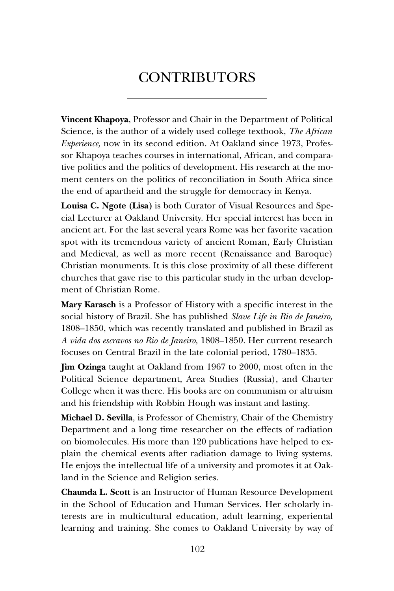## **CONTRIBUTORS**

**Vincent Khapoya**, Professor and Chair in the Department of Political Science, is the author of a widely used college textbook, *The African Experience,* now in its second edition. At Oakland since 1973, Professor Khapoya teaches courses in international, African, and comparative politics and the politics of development. His research at the moment centers on the politics of reconciliation in South Africa since the end of apartheid and the struggle for democracy in Kenya.

**Louisa C. Ngote (Lisa)** is both Curator of Visual Resources and Special Lecturer at Oakland University. Her special interest has been in ancient art. For the last several years Rome was her favorite vacation spot with its tremendous variety of ancient Roman, Early Christian and Medieval, as well as more recent (Renaissance and Baroque) Christian monuments. It is this close proximity of all these different churches that gave rise to this particular study in the urban development of Christian Rome.

**Mary Karasch** is a Professor of History with a specific interest in the social history of Brazil. She has published *Slave Life in Rio de Janeiro,*  1808–1850, which was recently translated and published in Brazil as *A vida dos escravos no Rio de Janeiro,* 1808–1850. Her current research focuses on Central Brazil in the late colonial period, 1780–1835.

**Jim Ozinga** taught at Oakland from 1967 to 2000, most often in the Political Science department, Area Studies (Russia), and Charter College when it was there. His books are on communism or altruism and his friendship with Robbin Hough was instant and lasting.

**Michael D. Sevilla**, is Professor of Chemistry, Chair of the Chemistry Department and a long time researcher on the effects of radiation on biomolecules. His more than 120 publications have helped to explain the chemical events after radiation damage to living systems. He enjoys the intellectual life of a university and promotes it at Oakland in the Science and Religion series.

**Chaunda L. Scott** is an Instructor of Human Resource Development in the School of Education and Human Services. Her scholarly interests are in multicultural education, adult learning, experiental learning and training. She comes to Oakland University by way of